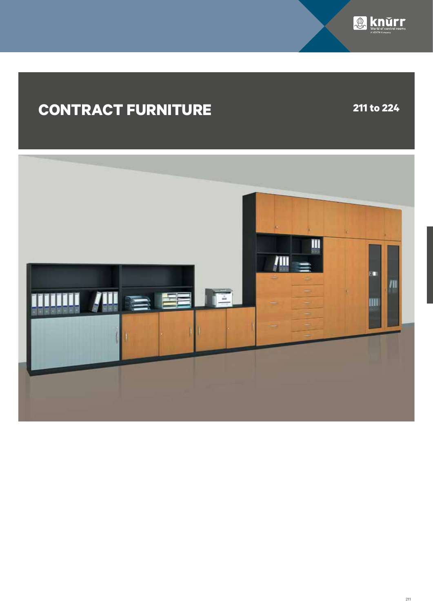

## **CONTRACT FURNITURE 211 to 224**

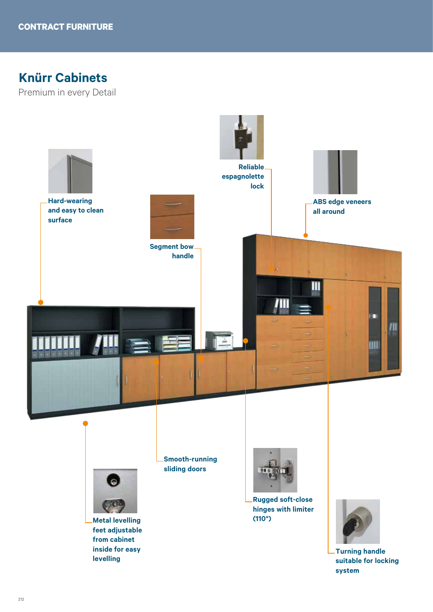## **Knürr Cabinets**

Premium in every Detail

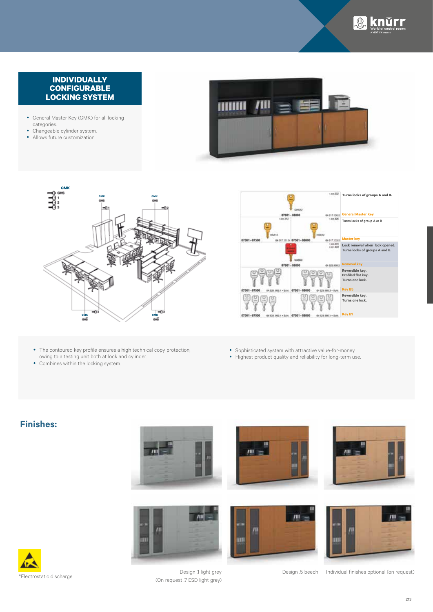

#### **INDIVIDUALLY CONFIGURABLE LOCKING SYSTEM**

- General Master Key (GMK) for all locking categories.
- Changeable cylinder system.
- Allows future customization.







- The contoured key profile ensures a high technical copy protection, owing to a testing unit both at lock and cylinder.
- Combines within the locking system.
- Sophisticated system with attractive value-for-money.
- Highest product quality and reliability for long-term use.

#### **Finishes:**





Design .1 light grey (On request .7 ESD light grey)

ш





Design .5 beech Individual finishes optional (on request)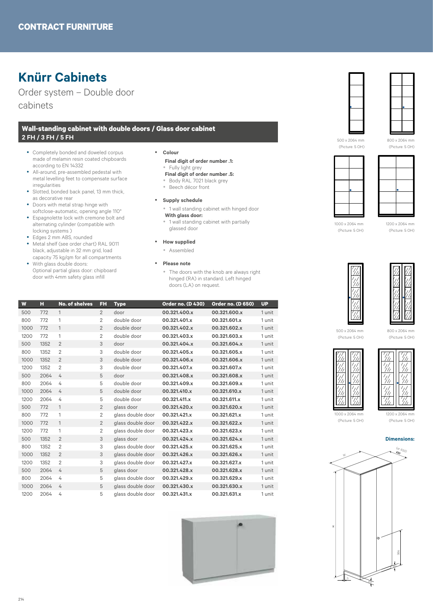## **Knürr Cabinets**

Order system – Double door cabinets

#### **Wall-standing cabinet with double doors / Glass door cabinet 2 FH / 3 FH / 5 FH**

- Completely bonded and doweled corpus made of melamin resin coated chipboards according to EN 14332
- All-around, pre-assembled pedestal with metal levelling feet to compensate surface irregularities
- Slotted, bonded back panel, 13 mm thick, as decorative rear
- Doors with metal strap hinge with
- softclose-automatic, opening angle 110° • Espagnolette lock with cremone bolt and alternating cylinder (compatible with locking systems )
- Edges 2 mm ABS, rounded
- Metal shelf (see order chart) RAL 9011 black, adjustable in 32 mm grid, load capacity 75 kg/qm for all compartments
- With glass double doors: Optional partial glass door: chipboard door with 4mm safety glass infill
- y **Colour**
	- **Final digit of order number .1:** y Fully light grey
	- **Final digit of order number .5:** y Body RAL 7021 black grey
	- Beech décor front
- **•** Supply schedule
	- 1 wall standing cabinet with hinged door **With glass door:**
	- 1 wall standing cabinet with partially
- glassed door
- **•** How supplied
	- Assembled
- y **Please note**
	- The doors with the knob are always right hinged (RA) in standard. Left hinged doors (LA) on request.

| W    | н    | <b>No. of shelves</b> | FH             | <b>Type</b>       | <b>Order no. (D 430)</b> | <b>Order no. (D 650)</b> | <b>UP</b> |
|------|------|-----------------------|----------------|-------------------|--------------------------|--------------------------|-----------|
| 500  | 772  | 1                     | $\overline{2}$ | door              | 00.321.400.x             | 00.321.600.x             | 1 unit    |
| 800  | 772  | 1                     | $\overline{2}$ | double door       | 00.321.401.x             | 00.321.601.x             | 1 unit    |
| 1000 | 772  | 1                     | $\overline{2}$ | double door       | 00.321.402.x             | 00.321.602.x             | 1 unit    |
| 1200 | 772  | 1                     | $\overline{2}$ | double door       | 00.321.403.x             | 00.321.603.x             | 1 unit    |
| 500  | 1352 | $\overline{2}$        | 3              | door              | 00.321.404.x             | 00.321.604.x             | 1 unit    |
| 800  | 1352 | $\overline{2}$        | 3              | double door       | 00.321.405.x             | 00.321.605.x             | 1 unit    |
| 1000 | 1352 | $\overline{2}$        | 3              | double door       | 00.321.406.x             | 00.321.606.x             | 1 unit    |
| 1200 | 1352 | $\overline{2}$        | 3              | double door       | 00.321.407.x             | 00.321.607.x             | 1 unit    |
| 500  | 2064 | 4                     | 5              | door              | 00.321.408.x             | 00.321.608.x             | 1 unit    |
| 800  | 2064 | 4                     | 5              | double door       | 00.321.409.x             | 00.321.609.x             | 1 unit    |
| 1000 | 2064 | 4                     | 5              | double door       | 00.321.410.x             | 00.321.610.x             | 1 unit    |
| 1200 | 2064 | 4                     | 5              | double door       | 00.321.411.x             | 00.321.611.x             | 1 unit    |
| 500  | 772  | $\mathbf{1}$          | $\overline{2}$ | glass door        | 00.321.420.x             | 00.321.620.x             | 1 unit    |
| 800  | 772  | 1                     | $\overline{2}$ | glass double door | 00.321.421.x             | 00.321.621.x             | 1 unit    |
| 1000 | 772  | 1                     | $\overline{2}$ | glass double door | 00.321.422.x             | 00.321.622.x             | 1 unit    |
| 1200 | 772  | 1                     | $\overline{2}$ | glass double door | 00.321.423.x             | 00.321.623.x             | 1 unit    |
| 500  | 1352 | $\overline{2}$        | 3              | glass door        | 00.321.424.x             | 00.321.624.x             | 1 unit    |
| 800  | 1352 | $\overline{2}$        | 3              | glass double door | 00.321.425.x             | 00.321.625.x             | 1 unit    |
| 1000 | 1352 | $\overline{2}$        | 3              | glass double door | 00.321.426.x             | 00.321.626.x             | 1 unit    |
| 1200 | 1352 | $\overline{2}$        | 3              | glass double door | 00.321.427.x             | 00.321.627.x             | 1 unit    |
| 500  | 2064 | 4                     | 5              | glass door        | 00.321.428.x             | 00.321.628.x             | 1 unit    |
| 800  | 2064 | 4                     | 5              | glass double door | 00.321.429.x             | 00.321.629.x             | 1 unit    |
| 1000 | 2064 | 4                     | 5              | glass double door | 00.321.430.x             | 00.321.630.x             | 1 unit    |
| 1200 | 2064 | 4                     | 5              | glass double door | 00.321.431.x             | 00.321.631.x             | 1 unit    |





500 x 2064 mm (Picture: 5 OH) 800 x 2064 mm (Picture: 5 OH)





1000 x 2064 mm (Picture: 5 OH)

1200 x 2064 mm (Picture: 5 OH)





500 x 2064 mm (Picture: 5 OH)

800 x 2064 mm (Picture: 5 OH)





1000 x 2064 mm (Picture: 5 OH)

1200 x 2064 mm (Picture: 5 OH)



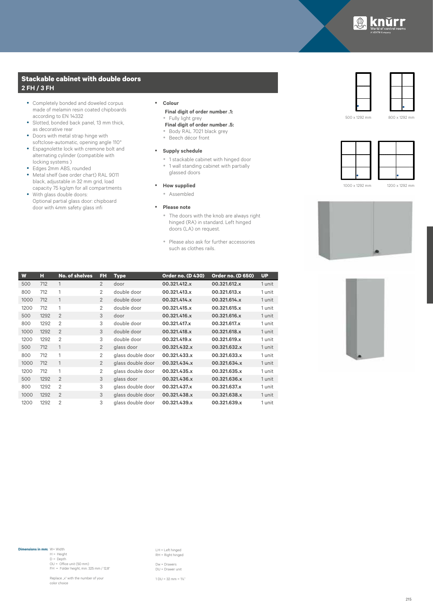

#### **Stackable cabinet with double doors 2 FH / 3 FH**

- Completely bonded and doweled corpus made of melamin resin coated chipboards according to EN 14332
- Slotted, bonded back panel, 13 mm thick, as decorative rear
- Doors with metal strap hinge with softclose-automatic, opening angle 110°
- y Espagnolette lock with cremone bolt and alternating cylinder (compatible with locking systems )
- Edges 2mm ABS, rounded
- Metal shelf (see order chart) RAL 9011 black, adjustable in 32 mm grid, load capacity 75 kg/qm for all compartments
- With glass double doors: Optional partial glass door: chipboard door with 4mm safety glass infi

#### y **Colour Final digit of order number .1:**

- Fully light grey **Final digit of order number .5:**
- Body RAL 7021 black grey
- Beech décor front
- **•** Supply schedule
	- 1 stackable cabinet with hinged door • 1 wall standing cabinet with partially glassed doors
- **•** How supplied
	- Assembled
- **•** Please note
	- The doors with the knob are always right hinged (RA) in standard. Left hinged doors (LA) on request.
	- Please also ask for further accessories such as clothes rails.

| W    | н    | No. of shelves | FH             | <b>Type</b>       | <b>Order no. (D 430)</b> | <b>Order no. (D 650)</b> | <b>UP</b> |
|------|------|----------------|----------------|-------------------|--------------------------|--------------------------|-----------|
| 500  | 712  | 1              | $\overline{2}$ | door              | 00.321.412.x             | 00.321.612.x             | 1 unit    |
| 800  | 712  | 1              | $\overline{2}$ | double door       | 00.321.413.x             | 00.321.613.x             | 1 unit    |
| 1000 | 712  | $\mathbf{1}$   | $\overline{2}$ | double door       | 00.321.414.x             | 00.321.614.x             | 1 unit    |
| 1200 | 712  | 1              | $\overline{2}$ | double door       | 00.321.415.x             | 00.321.615.x             | 1 unit    |
| 500  | 1292 | $\overline{2}$ | 3              | door              | 00.321.416.x             | 00.321.616.x             | 1 unit    |
| 800  | 1292 | $\overline{2}$ | 3              | double door       | 00.321.417.x             | 00.321.617.x             | 1 unit    |
| 1000 | 1292 | $\overline{2}$ | 3              | double door       | 00.321.418.x             | 00.321.618.x             | 1 unit    |
| 1200 | 1292 | $\overline{2}$ | 3              | double door       | 00.321.419.x             | 00.321.619.x             | 1 unit    |
| 500  | 712  | $\mathbf{1}$   | $\overline{2}$ | glass door        | 00.321.432.x             | 00.321.632.x             | 1 unit    |
| 800  | 712  | 1              | $\overline{2}$ | glass double door | 00.321.433.x             | 00.321.633.x             | 1 unit    |
| 1000 | 712  | 1              | $\overline{2}$ | glass double door | 00.321.434.x             | 00.321.634.x             | 1 unit    |
| 1200 | 712  | 1              | 2              | glass double door | 00.321.435.x             | 00.321.635.x             | 1 unit    |
| 500  | 1292 | $\mathfrak{D}$ | 3              | glass door        | 00.321.436.x             | 00.321.636.x             | 1 unit    |
| 800  | 1292 | $\overline{2}$ | 3              | glass double door | 00.321.437.x             | 00.321.637.x             | 1 unit    |
| 1000 | 1292 | $\overline{2}$ | 3              | glass double door | 00.321.438.x             | 00.321.638.x             | 1 unit    |
| 1200 | 1292 | $\overline{2}$ | 3              | glass double door | 00.321.439.x             | 00.321.639.x             | 1 unit    |





500 x 1292 mm





1000 x 1292 mm

1200 x 1292 mm





**Dimensions in mm:** W= Width H = Height D = Depth OU = Office unit (50 mm) FH = Folder height, min. 325 mm / 12,8"

Replace "x" with the number of your

color choice

LH = Left hinged RH = Right hinged Dw = Drawers DU = Drawer unit

1 DU = 32 mm = 1¼"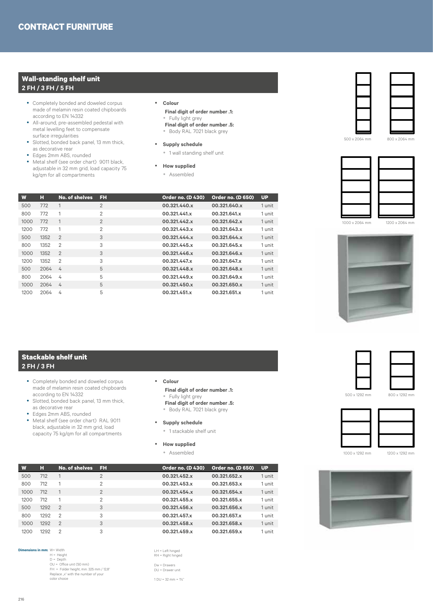#### **Wall-standing shelf unit 2 FH / 3 FH / 5 FH**

- Completely bonded and doweled corpus made of melamin resin coated chipboards according to EN 14332
- All-around, pre-assembled pedestal with metal levelling feet to compensate surface irregularities
- Slotted, bonded back panel, 13 mm thick, as decorative rear
- Edges 2mm ABS, rounded
- Metal shelf (see order chart) 9011 black, adjustable in 32 mm grid, load capacity 75 kg/qm for all compartments

## y **Colour**

- **Final digit of order number .1:** • Fully light grey
- **Final digit of order number .5:** y Body RAL 7021 black grey
- 
- **•** Supply schedule
	- 1 wall standing shelf unit

#### **•** How supplied

• Assembled

| W    | н    | No. of shelves | FH             | <b>Order no. (D 430)</b> | <b>Order no. (D 650)</b> | <b>UP</b> |
|------|------|----------------|----------------|--------------------------|--------------------------|-----------|
| 500  | 772  | 1              | $\overline{2}$ | 00.321.440.x             | 00.321.640.x             | 1 unit    |
| 800  | 772  | 1              | $\mathbf{2}$   | 00.321.441.x             | 00.321.641.x             | 1 unit    |
| 1000 | 772  | $\mathbf{1}$   | $\overline{2}$ | 00.321.442.x             | 00.321.642.x             | 1 unit    |
| 1200 | 772  | 1              | $\overline{2}$ | 00.321.443.x             | 00.321.643.x             | 1 unit    |
| 500  | 1352 | $\overline{2}$ | 3              | 00.321.444.x             | 00.321.644.x             | 1 unit    |
| 800  | 1352 | $\mathcal{P}$  | 3              | 00.321.445.x             | 00.321.645.x             | 1 unit    |
| 1000 | 1352 | $\overline{2}$ | 3              | 00.321.446.x             | 00.321.646.x             | 1 unit    |
| 1200 | 1352 | $\overline{2}$ | 3              | 00.321.447.x             | 00.321.647.x             | 1 unit    |
| 500  | 2064 | $\overline{4}$ | 5              | 00.321.448.x             | 00.321.648.x             | 1 unit    |
| 800  | 2064 | 4              | 5              | 00.321.449.x             | 00.321.649.x             | 1 unit    |
| 1000 | 2064 | 4              | 5              | 00.321.450.x             | 00.321.650.x             | 1 unit    |
| 1200 | 2064 | 4              | 5              | 00.321.451.x             | 00.321.651.x             | 1 unit    |



500 x 2064 mm

1000 x 2064 mm





#### **Stackable shelf unit 2 FH / 3 FH**

- Completely bonded and doweled corpus made of melamin resin coated chipboards according to EN 14332
- Slotted, bonded back panel, 13 mm thick, as decorative rear
- Edges 2mm ABS, rounded
- Metal shelf (see order chart) RAL 9011 black, adjustable in 32 mm grid, load capacity 75 kg/qm for all compartments
- y **Colour**
	- **Final digit of order number .1:** • Fully light grey
	- **Final digit of order number .5:**
	- y Body RAL 7021 black grey
- **Supply schedule**
- 1 stackable shelf unit
- **•** How supplied
	- Assembled



- **Dimensions in mm:** W= Width<br>H = Height<br>D = Depth  $OU = Office unit (50 mm)$ FH = Folder height, min. 325 mm / 12,8" Replace "x" with the number of your color choice
- LH = Left hinged RH = Right hinged Dw = Drawers DU = Drawer unit 1 DU = 32 mm = 1¼"





1000 x 1292 mm

1200 x 1292 mm

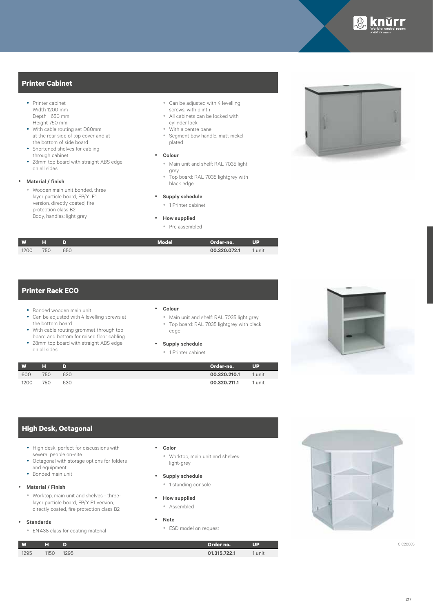

#### **Printer Cabinet**

- Printer cabinet Width 1200 mm Depth 650 mm Height 750 mm
- With cable routing set D80mm at the rear side of top cover and at the bottom of side board
- Shortened shelves for cabling through cabinet
- 28mm top board with straight ABS edge on all sides

#### y **Material / finish**

y Wooden main unit bonded, three layer particle board, FP/Y E1 version, directly coated, fire protection class B2 Body, handles: light grey

#### • Can be adjusted with 4 levelling screws, with plinth

- All cabinets can be locked with cylinder lock
- y With a centre panel
- Segment bow handle, matt nickel plated

#### • Colour

- y Main unit and shelf: RAL 7035 light grey
- $\bullet$  Top board: RAL 7035 lightgrey with black edge
- **Supply schedule** 
	- 1 Printer cabinet

#### **•** How supplied

• Pre assembled

| W.   | ы   |     | Model | Order-no.    | UP   |
|------|-----|-----|-------|--------------|------|
| 1200 | 750 | 650 |       | 00.320.072.1 | unit |



### **Printer Rack ECO**

- Bonded wooden main unit
- Can be adjusted with 4 levelling screws at the bottom board
- With cable routing grommet through top board and bottom for raised floor cabling
- 28mm top board with straight ABS edge on all sides

#### y **Colour**

- Main unit and shelf: RAL 7035 light grey • Top board: RAL 7035 lightgrey with black
- edge

#### Supply schedule

• 1 Printer cabinet





#### **High Desk, Octagonal**

- High desk: perfect for discussions with several people on-site
- Octagonal with storage options for folders and equipment
- Bonded main unit

#### y **Material / Finish**

• Worktop, main unit and shelves - threelayer particle board, FP/Y E1 version, directly coated, fire protection class B2

#### y **Standards**

• EN 438 class for coating material

#### y **Color**

• Worktop, main unit and shelves: light-grey

- **•** Supply schedule
	- 1 standing console
- **How supplied** • Assembled
- 
- y **Note**
	- ESD model on request





217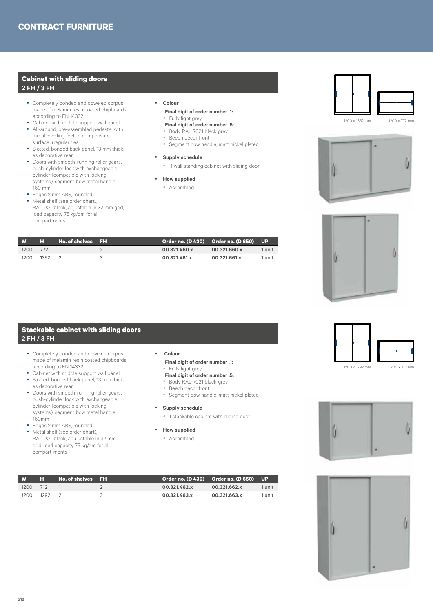#### **Cabinet with sliding doors 2 FH / 3 FH**

- Completely bonded and doweled corpus made of melamin resin coated chipboards according to EN 14332
- Cabinet with middle support wall panel • All-around, pre-assembled pedestal with
- metal levelling feet to compensate surface irregularities • Slotted, bonded back panel, 13 mm thick,
- as decorative rear
- Doors with smooth-running roller gears, push-cylinder lock with exchangeable cylinder (compatible with locking systems), segment bow metal handle 160 mm
- Edges 2 mm ABS, rounded • Metal shelf (see order chart),
- RAL 9011black, adjustable in 32 mm grid, load capacity 75 kg/qm for all compartments

#### y **Colour Final digit of order number .1:**

- Fully light grey **Final digit of order number .5:**
- y Body RAL 7021 black grey
- Beech décor front
- Segment bow handle, matt nickel plated
- **Supply schedule** 
	- 1 wall standing cabinet with sliding door
- **How supplied**
- Assembled

1200 x 1352 mm 1200 x 772 mm





| <b>W</b> | <b>The Second Second</b> | No. of shelves FH |    |              |              |        |
|----------|--------------------------|-------------------|----|--------------|--------------|--------|
| 1200     | 772                      |                   |    | 00.321.460.x | 00.321.660.x | 1 unit |
| 1200     | 1352                     |                   | -3 | 00.321.461.x | 00.321.661.x | 1 unit |
|          |                          |                   |    |              |              |        |

#### **Stackable cabinet with sliding doors 2 FH / 3 FH**

- Completely bonded and doweled corpus made of melamin resin coated chipboards according to EN 14332
- Cabinet with middle support wall panel
- Slotted, bonded back panel, 13 mm thick, as decorative rear
- Doors with smooth-running roller gears, push-cylinder lock with exchangeable cylinder (compatible with locking systems), segment bow metal handle 160mm
- Edges 2 mm ABS, rounded • Metal shelf (see order chart), RAL 9011black, adujustable in 32 mm grid, load capacity 75 kg/qm for all

compart-ments

 **Final digit of order number .1:** • Fully light grey **Final digit of order number .5:**

y **Colour**

- y Body RAL 7021 black grey
- Beech décor front
- Segment bow handle, matt nickel plated
- **Supply schedule** 
	- 1 stackable cabinet with sliding door
- **•** How supplied
	- Assembled





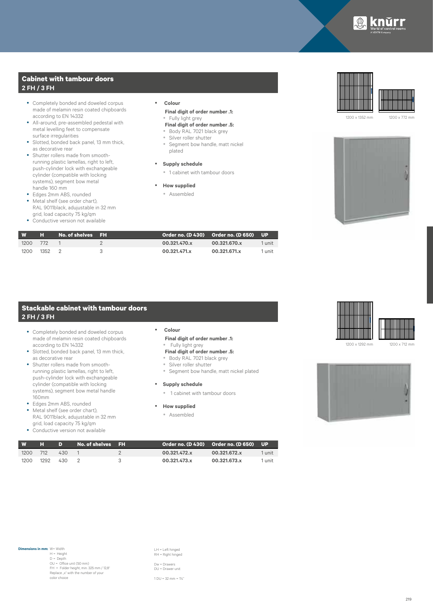

#### **Cabinet with tambour doors 2 FH / 3 FH**

- Completely bonded and doweled corpus made of melamin resin coated chipboards according to EN 14332
- All-around, pre-assembled pedestal with metal levelling feet to compensate surface irregularities
- Slotted, bonded back panel, 13 mm thick, as decorative rear
- Shutter rollers made from smoothrunning plastic lamellas, right to left, push-cylinder lock with exchangeable cylinder (compatible with locking systems), segment bow metal handle 160 mm
- Edges 2mm ABS, rounded • Metal shelf (see order chart),
- RAL 9011black, adujustable in 32 mm grid, load capacity 75 kg/qm
- Conductive version not available
- y **Colour Final digit of order number .1:** • Fully light grey
	- **Final digit of order number .5:**
	- Body RAL 7021 black grey
	- Silver roller shutter
	- Segment bow handle, matt nickel plated
- **Supply schedule** 
	- 1 cabinet with tambour doors
- **•** How supplied
	- Assembled





1200 x 1352 mm 1200 x 772 mm



| <b>W</b> | н.   | No. of shelves FH |              | Order no. (D 430) Order no. (D 650) UP |        |
|----------|------|-------------------|--------------|----------------------------------------|--------|
| 1200     | 772  |                   | 00.321.470.x | 00.321.670.x                           | 1 unit |
| 1200     | 1352 |                   | 00.321.471.x | 00.321.671.x                           | 1 unit |

#### **Stackable cabinet with tambour doors 2 FH / 3 FH**

- Completely bonded and doweled corpus made of melamin resin coated chipboards according to EN 14332
- Slotted, bonded back panel, 13 mm thick, as decorative rear
- Shutter rollers made from smoothrunning plastic lamellas, right to left, push-cylinder lock with exchangeable cylinder (compatible with locking systems), segment bow metal handle 160mm
- Edges 2mm ABS, rounded • Metal shelf (see order chart), RAL 9011black, adujustable in 32 mm grid, load capacity 75 kg/qm
- Conductive version not available
- y **Colour**
	- **Final digit of order number .1:** • Fully light grey
	- **Final digit of order number .5:**
	- y Body RAL 7021 black grey • Silver roller shutter
	- Segment bow handle, matt nickel plated
	-
- **•** Supply schedule • 1 cabinet with tambour doors
- 
- **•** How supplied
	- Assembled





| W    | ы    | D.  | No. of shelves FH |     | Order no. (D 430)  Order no. (D 650)  UP <sup>1</sup> |              |        |
|------|------|-----|-------------------|-----|-------------------------------------------------------|--------------|--------|
| 1200 | 712  | 430 |                   |     | 00.321.472.x                                          | 00.321.672.x | 1 unit |
| 1200 | 1292 | 430 |                   | - 2 | 00.321.473.x                                          | 00.321.673.x | 1 unit |

LH = Left hinged RH = Right hinged

Dw = Drawers DU = Drawer unit

1 DU = 32 mm = 1¼"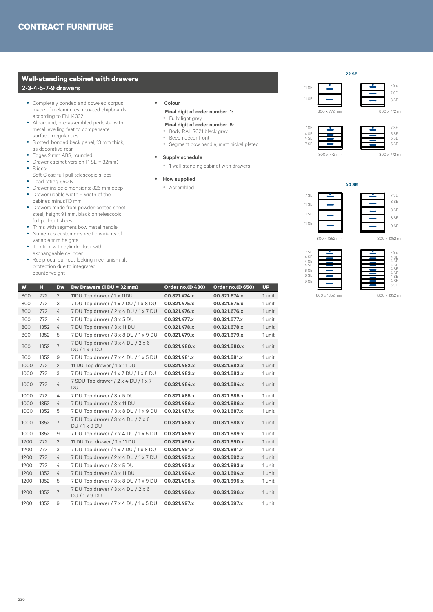#### **Wall-standing cabinet with drawers 2-3-4-5-7-9 drawers**

- Completely bonded and doweled corpus made of melamin resin coated chipboards according to EN 14332
- All-around, pre-assembled pedestal with metal levelling feet to compensate surface irregularities
- Slotted, bonded back panel, 13 mm thick, as decorative rear
- Edges 2 mm ABS, rounded
- Drawer cabinet version (1 SE = 32mm) y Slides:
- Soft Close full pull telescopic slides
- Load rating 650 N<br>• Drawer inside dime
- Drawer inside dimensions: 326 mm deep
- $\bullet$  Drawer usable width = width of the cabinet: minus110 mm
- Drawers made from powder-coated sheet steel, height 91 mm, black on telescopic full pull-out slides
- Trims with segment bow metal handle
- Numerous customer-specific variants of variable trim heights
- Top trim with cylinder lock with exchangeable cylinder
- Reciprocal pull-out locking mechanism tilt protection due to integrated counterweight

#### y **Colour Final digit of order number .1:**

- Fully light grey
- **Final digit of order number .5:** y Body RAL 7021 black grey
- Beech décor front
- Segment bow handle, matt nickel plated
- **•** Supply schedule
	- 1 wall-standing cabinet with drawers
- **•** How supplied
	- Assembled

|  | 800 x 772 mm |  |
|--|--------------|--|
|  |              |  |
|  |              |  |
|  |              |  |
|  |              |  |

11 SE

11 SE



800 x 772 mm

7 SE 7 SE

**22 SE**

4 SE  $\overline{ }$  5 SE 4 SE  $\overline{S}$  5 SE  $7$  SE  $\qquad \qquad$  5 SE



7 SE

8 SE 7 SE

800 x 772 mm

800 x 772 mm







| W    | н    | Dw             | Dw Drawers (1 DU = 32 mm)                      | Order no.(D 430) | Order no.(D 650) | <b>UP</b> |
|------|------|----------------|------------------------------------------------|------------------|------------------|-----------|
| 800  | 772  | $\overline{2}$ | 11DU Top drawer / 1 x 11DU                     | 00.321.474.x     | 00.321.674.x     | 1 unit    |
| 800  | 772  | 3              | 7 DU Top drawer / 1 x 7 DU / 1 x 8 DU          | 00.321.475.x     | 00.321.675.x     | 1 unit    |
| 800  | 772  | 4              | 7 DU Top drawer / 2 x 4 DU / 1 x 7 DU          | 00.321.476.x     | 00.321.676.x     | 1 unit    |
| 800  | 772  | 4              | 7 DU Top drawer / 3 x 5 DU                     | 00.321.477.x     | 00.321.677.x     | 1 unit    |
| 800  | 1352 | 4              | 7 DU Top drawer / 3 x 11 DU                    | 00.321.478.x     | 00.321.678.x     | 1 unit    |
| 800  | 1352 | 5              | 7 DU Top drawer / 3 x 8 DU / 1 x 9 DU          | 00.321.479.x     | 00.321.679.x     | 1 unit    |
| 800  | 1352 | $\overline{7}$ | 7 DU Top drawer / 3 x 4 DU / 2 x 6<br>DU/1x9DU | 00.321.480.x     | 00.321.680.x     | 1 unit    |
| 800  | 1352 | 9              | 7 DU Top drawer / 7 x 4 DU / 1 x 5 DU          | 00.321.481.x     | 00.321.681.x     | 1 unit    |
| 1000 | 772  | 2              | 11 DU Top drawer / 1 x 11 DU                   | 00.321.482.x     | 00.321.682.x     | 1 unit    |
| 1000 | 772  | 3              | 7 DU Top drawer / 1 x 7 DU / 1 x 8 DU          | 00.321.483.x     | 00.321.683.x     | 1 unit    |
| 1000 | 772  | 4              | 7 SDU Top drawer / 2 x 4 DU / 1 x 7<br>DU      | 00.321.484.x     | 00.321.684.x     | 1 unit    |
| 1000 | 772  | 4              | 7 DU Top drawer / 3 x 5 DU                     | 00.321.485.x     | 00.321.685.x     | 1 unit    |
| 1000 | 1352 | 4              | 7 DU Top drawer / 3 x 11 DU                    | 00.321.486.x     | 00.321.686.x     | 1 unit    |
| 1000 | 1352 | 5              | 7 DU Top drawer / 3 x 8 DU / 1 x 9 DU          | 00.321.487.x     | 00.321.687.x     | 1 unit    |
| 1000 | 1352 | $\overline{7}$ | 7 DU Top drawer / 3 x 4 DU / 2 x 6<br>DU/1x9DU | 00.321.488.x     | 00.321.688.x     | 1 unit    |
| 1000 | 1352 | 9              | 7 DU Top drawer / 7 x 4 DU / 1 x 5 DU          | 00.321.489.x     | 00.321.689.x     | 1 unit    |
| 1200 | 772  | $\overline{2}$ | 11 DU Top drawer / 1 x 11 DU                   | 00.321.490.x     | 00.321.690.x     | 1 unit    |
| 1200 | 772  | 3              | 7 DU Top drawer / 1 x 7 DU / 1 x 8 DU          | 00.321.491.x     | 00.321.691.x     | 1 unit    |
| 1200 | 772  | 4              | 7 DU Top drawer / 2 x 4 DU / 1 x 7 DU          | 00.321.492.x     | 00.321.692.x     | 1 unit    |
| 1200 | 772  | 4              | 7 DU Top drawer / 3 x 5 DU                     | 00.321.493.x     | 00.321.693.x     | 1 unit    |
| 1200 | 1352 | 4              | 7 DU Top drawer / 3 x 11 DU                    | 00.321.494.x     | 00.321.694.x     | 1 unit    |
| 1200 | 1352 | 5              | 7 DU Top drawer / 3 x 8 DU / 1 x 9 DU          | 00.321.495.x     | 00.321.695.x     | 1 unit    |
| 1200 | 1352 | $\overline{7}$ | 7 DU Top drawer / 3 x 4 DU / 2 x 6<br>DU/1x9DU | 00.321.496.x     | 00.321.696.x     | 1 unit    |
| 1200 | 1352 | 9              | 7 DU Top drawer / 7 x 4 DU / 1 x 5 DU          | 00.321.497.x     | 00.321.697.x     | 1 unit    |

#### 220



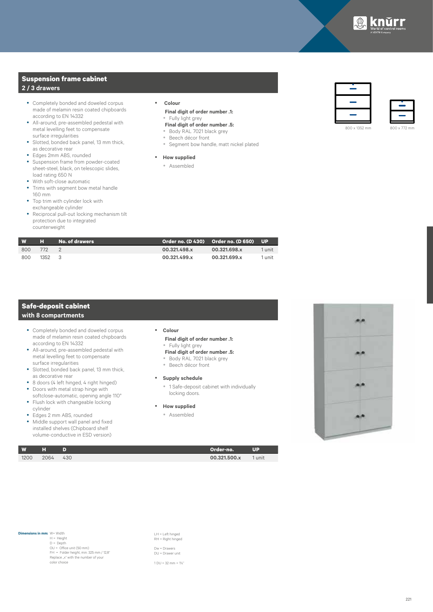

#### **Suspension frame cabinet 2 / 3 drawers**

- Completely bonded and doweled corpus made of melamin resin coated chipboards according to EN 14332
- All-around, pre-assembled pedestal with metal levelling feet to compensate surface irregularities
- Slotted, bonded back panel, 13 mm thick, as decorative rear
- Edges 2mm ABS, rounded
- Suspension frame from powder-coated sheet-steel, black, on telescopic slides, load rating 650 N
- With soft-close automatic<br>• Trime with segment how n Trims with segment bow metal handle
- 160 mm
- Top trim with cylinder lock with exchangeable cylinder
- Reciprocal pull-out locking mechanism tilt protection due to integrated counterweight

#### y **Colour Final digit of order number .1:**

- Fully light grey
- **Final digit of order number .5:** y Body RAL 7021 black grey
- Beech décor front
- Segment bow handle, matt nickel plated

#### **•** How supplied

• Assembled





| <b>W</b> | н    | No. of drawers |              | Order no. (D 430) Order no. (D 650) UP |        |
|----------|------|----------------|--------------|----------------------------------------|--------|
| 800      | 772  |                | 00.321.498.x | 00.321.698.x                           | 1 unit |
| 800      | 1352 | ્ર             | 00.321.499.x | 00.321.699.x                           | 1 unit |

#### **Safe-deposit cabinet with 8 compartments**

- Completely bonded and doweled corpus made of melamin resin coated chipboards according to EN 14332
- All-around, pre-assembled pedestal with metal levelling feet to compensate surface irregularities
- Slotted, bonded back panel, 13 mm thick, as decorative rear
- 8 doors (4 left hinged, 4 right hinged)
- Doors with metal strap hinge with
- softclose-automatic, opening angle 110° • Flush lock with changeable locking
- cylinder
- Edges 2 mm ABS, rounded • Middle support wall panel and fixed
- installed shelves (Chipboard shelf volume-conductive in ESD version)

#### y **Colour**

- **Final digit of order number .1:** • Fully light grey
- **Final digit of order number .5:**
- y Body RAL 7021 black grey • Beech décor front
- 

#### **•** Supply schedule

- <sup>\*</sup> 1 Safe-deposit cabinet with individually locking doors.
- **How supplied** 
	- Assembled



| W<br>н |          | Order-no.    | <b>UP</b> |
|--------|----------|--------------|-----------|
| 1200   | 2064 430 | 00.321.500.x | 1 unit    |

#### **Dimensions in mm:** W= Width

I

H = Height D = Depth  $OU = Offica$  unit (50 mm) FH = Folder height, min. 325 mm / 12,8"<br>Replace "x" with the number of your color choice

LH = Left hinged RH = Right hinged Dw = Drawers DU = Drawer unit

1 DU = 32 mm = 1¼"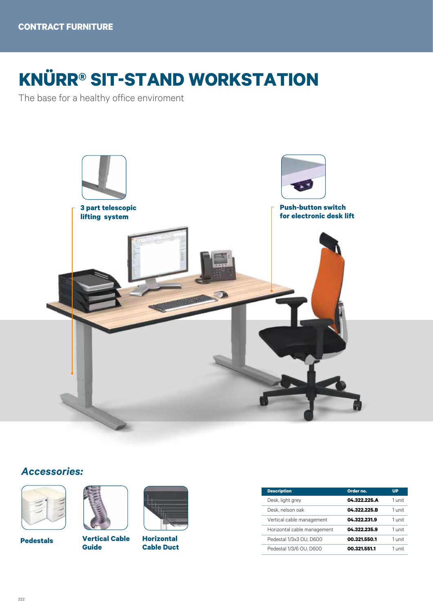# **KNÜRR® SIT-STAND WORKSTATION**

The base for a healthy office enviroment



## *Accessories:*



**Pedestals**



**Vertical Cable Guide**



**Horizontal Cable Duct**

| <b>Description</b>          | Order no.    | <b>UP</b> |
|-----------------------------|--------------|-----------|
| Desk, light grey            | 04.322.225.A | 1 unit    |
| Desk, nelson oak            | 04.322.225.B | 1 unit    |
| Vertical cable management   | 04.322.231.9 | 1 unit    |
| Horizontal cable management | 04.322.235.9 | 1 unit    |
| Pedestal 1/3x3 OU, D600     | 00.321.550.1 | 1 unit    |
| Pedestal 1/3/6 OU, D600     | 00.321.551.1 | 1 unit    |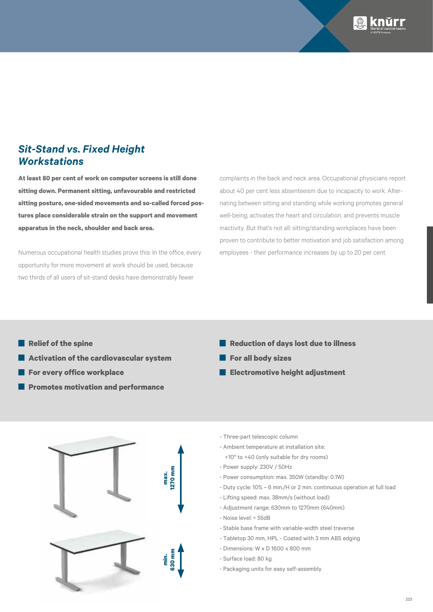

## *Sit-Stand vs. Fixed Height Workstations*

**At least 80 per cent of work on computer screens is still done sitting down. Permanent sitting, unfavourable and restricted sitting posture, one-sided movements and so-called forced postures place considerable strain on the support and movement apparatus in the neck, shoulder and back area.** 

Numerous occupational health studies prove this: In the office, every opportunity for more movement at work should be used, because two thirds of all users of sit-stand desks have demonstrably fewer

complaints in the back and neck area. Occupational physicians report about 40 per cent less absenteeism due to incapacity to work. Alternating between sitting and standing while working promotes general well-being, activates the heart and circulation, and prevents muscle inactivity. But that's not all: sitting/standing workplaces have been proven to contribute to better motivation and job satisfaction among employees - their performance increases by up to 20 per cent.

- **Relief of the spine**
- П **Activation of the cardiovascular system**
- **For every office workplace**
- **Promotes motivation and performance**
- **Reduction of days lost due to illness**
- **For all body sizes**
- **Electromotive height adjustment**



- Three-part telescopic column
- Ambient temperature at installation site: +10° to +40 (only suitable for dry rooms)
- 
- Power supply: 230V / 50Hz
- Power consumption: max. 350W (standby: 0.1W)
- Duty cycle: 10% ~ 6 min./H or 2 min. continuous operation at full load
- Lifting speed: max. 38mm/s (without load)
- Adjustment range: 630mm to 1270mm (640mm)
- Noise level: < 55dB
- Stable base frame with variable-width steel traverse
- Tabletop 30 mm, HPL Coated with 3 mm ABS edging
- Dimensions: W x D 1600 x 800 mm
- Surface load: 80 kg
- Packaging units for easy self-assembly